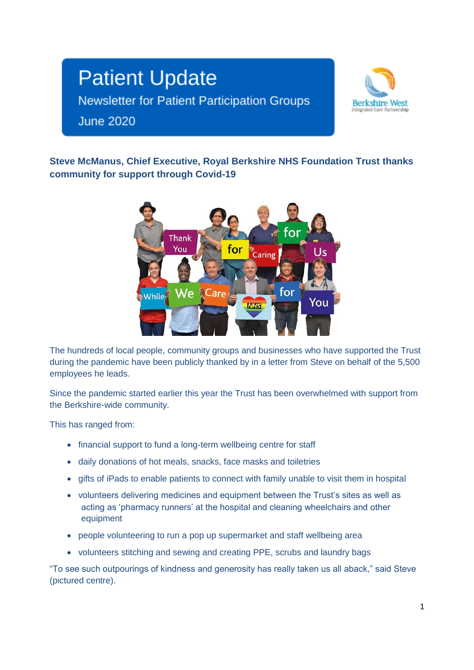# **Patient Update** Newsletter for Patient Participation Groups **June 2020**



**Steve McManus, Chief Executive, Royal Berkshire NHS Foundation Trust thanks community for support through Covid-19**



The hundreds of local people, community groups and businesses who have supported the Trust during the pandemic have been publicly thanked by in a letter from Steve on behalf of the 5,500 employees he leads.

Since the pandemic started earlier this year the Trust has been overwhelmed with support from the Berkshire-wide community.

This has ranged from:

- financial support to fund a long-term wellbeing centre for staff
- daily donations of hot meals, snacks, face masks and toiletries
- gifts of iPads to enable patients to connect with family unable to visit them in hospital
- volunteers delivering medicines and equipment between the Trust's sites as well as acting as 'pharmacy runners' at the hospital and cleaning wheelchairs and other equipment
- people volunteering to run a pop up supermarket and staff wellbeing area
- volunteers stitching and sewing and creating PPE, scrubs and laundry bags

"To see such outpourings of kindness and generosity has really taken us all aback," said Steve (pictured centre).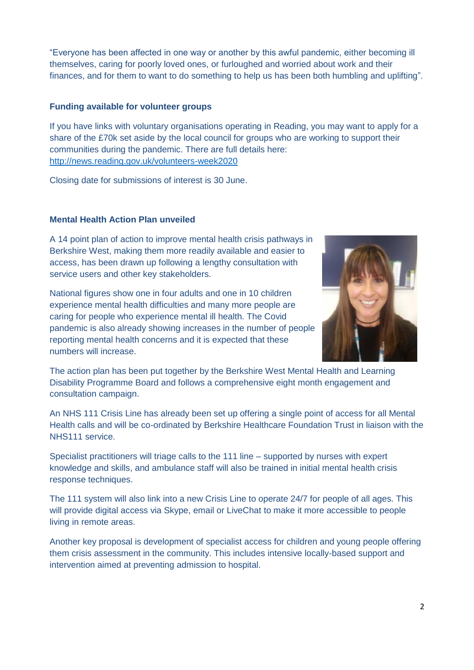"Everyone has been affected in one way or another by this awful pandemic, either becoming ill themselves, caring for poorly loved ones, or furloughed and worried about work and their finances, and for them to want to do something to help us has been both humbling and uplifting".

# **Funding available for volunteer groups**

If you have links with voluntary organisations operating in Reading, you may want to apply for a share of the £70k set aside by the local council for groups who are working to support their communities during the pandemic. There are full details here: <http://news.reading.gov.uk/volunteers-week2020>

Closing date for submissions of interest is 30 June.

# **Mental Health Action Plan unveiled**

A 14 point plan of action to improve mental health crisis pathways in Berkshire West, making them more readily available and easier to access, has been drawn up following a lengthy consultation with service users and other key stakeholders.

National figures show one in four adults and one in 10 children experience mental health difficulties and many more people are caring for people who experience mental ill health. The Covid pandemic is also already showing increases in the number of people reporting mental health concerns and it is expected that these numbers will increase.



The action plan has been put together by the Berkshire West Mental Health and Learning Disability Programme Board and follows a comprehensive eight month engagement and consultation campaign.

An NHS 111 Crisis Line has already been set up offering a single point of access for all Mental Health calls and will be co-ordinated by Berkshire Healthcare Foundation Trust in liaison with the NHS111 service.

Specialist practitioners will triage calls to the 111 line – supported by nurses with expert knowledge and skills, and ambulance staff will also be trained in initial mental health crisis response techniques.

The 111 system will also link into a new Crisis Line to operate 24/7 for people of all ages. This will provide digital access via Skype, email or LiveChat to make it more accessible to people living in remote areas.

Another key proposal is development of specialist access for children and young people offering them crisis assessment in the community. This includes intensive locally-based support and intervention aimed at preventing admission to hospital.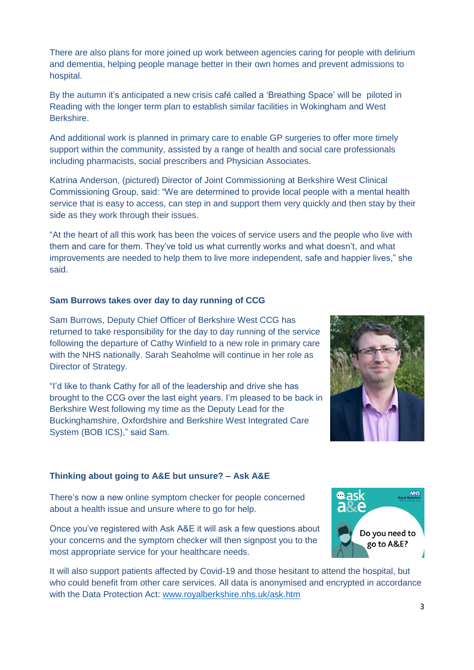There are also plans for more joined up work between agencies caring for people with delirium and dementia, helping people manage better in their own homes and prevent admissions to hospital.

By the autumn it's anticipated a new crisis café called a 'Breathing Space' will be piloted in Reading with the longer term plan to establish similar facilities in Wokingham and West Berkshire.

And additional work is planned in primary care to enable GP surgeries to offer more timely support within the community, assisted by a range of health and social care professionals including pharmacists, social prescribers and Physician Associates.

Katrina Anderson, (pictured) Director of Joint Commissioning at Berkshire West Clinical Commissioning Group, said: "We are determined to provide local people with a mental health service that is easy to access, can step in and support them very quickly and then stay by their side as they work through their issues.

"At the heart of all this work has been the voices of service users and the people who live with them and care for them. They've told us what currently works and what doesn't, and what improvements are needed to help them to live more independent, safe and happier lives," she said.

# **Sam Burrows takes over day to day running of CCG**

Sam Burrows, Deputy Chief Officer of Berkshire West CCG has returned to take responsibility for the day to day running of the service following the departure of Cathy Winfield to a new role in primary care with the NHS nationally. Sarah Seaholme will continue in her role as Director of Strategy.

"I'd like to thank Cathy for all of the leadership and drive she has brought to the CCG over the last eight years. I'm pleased to be back in Berkshire West following my time as the Deputy Lead for the Buckinghamshire, Oxfordshire and Berkshire West Integrated Care System (BOB ICS)," said Sam.



#### **Thinking about going to A&E but unsure? – Ask A&E**

There's now a new online symptom checker for people concerned about a health issue and unsure where to go for help.

Once you've registered with Ask A&E it will ask a few questions about your concerns and the symptom checker will then signpost you to the most appropriate service for your healthcare needs.



It will also support patients affected by Covid-19 and those hesitant to attend the hospital, but who could benefit from other care services. All data is anonymised and encrypted in accordance with the Data Protection Act: [www.royalberkshire.nhs.uk/ask.htm](http://www.royalberkshire.nhs.uk/ask.htm)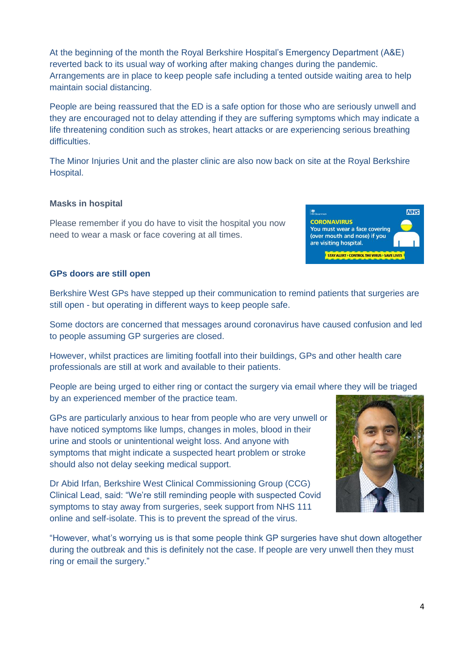At the beginning of the month the Royal Berkshire Hospital's Emergency Department (A&E) reverted back to its usual way of working after making changes during the pandemic. Arrangements are in place to keep people safe including a tented outside waiting area to help maintain social distancing.

People are being reassured that the ED is a safe option for those who are seriously unwell and they are encouraged not to delay attending if they are suffering symptoms which may indicate a life threatening condition such as strokes, heart attacks or are experiencing serious breathing difficulties.

The Minor Injuries Unit and the plaster clinic are also now back on site at the Royal Berkshire Hospital.

# **Masks in hospital**

Please remember if you do have to visit the hospital you now need to wear a mask or face covering at all times.

#### **GPs doors are still open**

Berkshire West GPs have stepped up their communication to remind patients that surgeries are still open - but operating in different ways to keep people safe.

Some doctors are concerned that messages around coronavirus have caused confusion and led to people assuming GP surgeries are closed.

However, whilst practices are limiting footfall into their buildings, GPs and other health care professionals are still at work and available to their patients.

People are being urged to either ring or contact the surgery via email where they will be triaged by an experienced member of the practice team.

GPs are particularly anxious to hear from people who are very unwell or have noticed symptoms like lumps, changes in moles, blood in their urine and stools or unintentional weight loss. And anyone with symptoms that might indicate a suspected heart problem or stroke should also not delay seeking medical support.

Dr Abid Irfan, Berkshire West Clinical Commissioning Group (CCG) Clinical Lead, said: "We're still reminding people with suspected Covid symptoms to stay away from surgeries, seek support from NHS 111 online and self-isolate. This is to prevent the spread of the virus.

"However, what's worrying us is that some people think GP surgeries have shut down altogether during the outbreak and this is definitely not the case. If people are very unwell then they must ring or email the surgery."